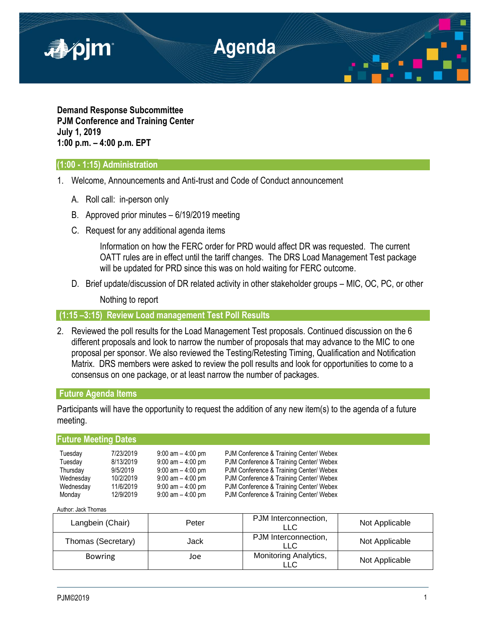

**Demand Response Subcommittee PJM Conference and Training Center July 1, 2019 1:00 p.m. – 4:00 p.m. EPT**

## **(1:00 - 1:15) Administration**

- 1. Welcome, Announcements and Anti-trust and Code of Conduct announcement
	- A. Roll call: in-person only
	- B. Approved prior minutes 6/19/2019 meeting
	- C. Request for any additional agenda items

Information on how the FERC order for PRD would affect DR was requested. The current OATT rules are in effect until the tariff changes. The DRS Load Management Test package will be updated for PRD since this was on hold waiting for FERC outcome.

D. Brief update/discussion of DR related activity in other stakeholder groups – MIC, OC, PC, or other

Nothing to report

**(1:15 –3:15) Review Load management Test Poll Results**

2. Reviewed the poll results for the Load Management Test proposals. Continued discussion on the 6 different proposals and look to narrow the number of proposals that may advance to the MIC to one proposal per sponsor. We also reviewed the Testing/Retesting Timing, Qualification and Notification Matrix. DRS members were asked to review the poll results and look for opportunities to come to a consensus on one package, or at least narrow the number of packages.

### **Future Agenda Items**

Participants will have the opportunity to request the addition of any new item(s) to the agenda of a future meeting.

## **Future Meeting Dates**

| Tuesday   | 7/23/2019 | $9:00$ am $-4:00$ pm | PJM Conference & Training Center/ Webex |
|-----------|-----------|----------------------|-----------------------------------------|
| Tuesday   | 8/13/2019 | $9:00$ am $-4:00$ pm | PJM Conference & Training Center/ Webex |
| Thursday  | 9/5/2019  | $9:00$ am $-4:00$ pm | PJM Conference & Training Center/ Webex |
| Wednesday | 10/2/2019 | $9:00$ am $-4:00$ pm | PJM Conference & Training Center/ Webex |
| Wednesday | 11/6/2019 | $9:00$ am $-4:00$ pm | PJM Conference & Training Center/ Webex |
| Monday    | 12/9/2019 | $9:00$ am $-4:00$ pm | PJM Conference & Training Center/ Webex |

Author: Jack Thomas

| Langbein (Chair)   | Peter | PJM Interconnection,<br>LLC  | Not Applicable |
|--------------------|-------|------------------------------|----------------|
| Thomas (Secretary) | Jack  | PJM Interconnection,<br>LLC  | Not Applicable |
| <b>Bowring</b>     | Joe   | Monitoring Analytics,<br>∟LC | Not Applicable |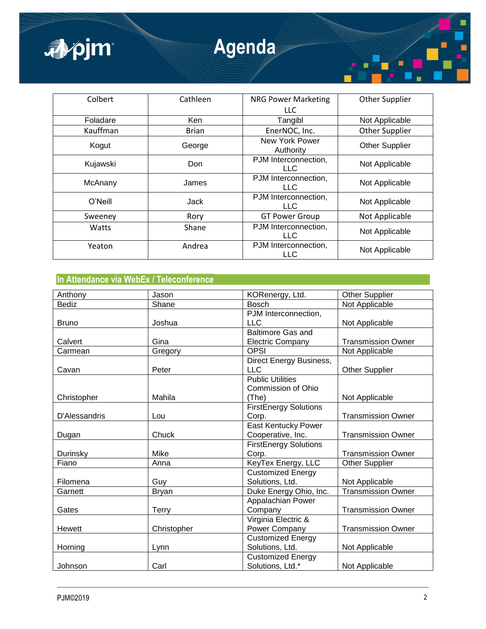| ■pjm     |              | <b>Agenda</b>                      |                       |
|----------|--------------|------------------------------------|-----------------------|
| Colbert  | Cathleen     | <b>NRG Power Marketing</b><br>LLC  | Other Supplier        |
| Foladare | Ken          | Tangibl                            | Not Applicable        |
| Kauffman | <b>Brian</b> | EnerNOC, Inc.                      | Other Supplier        |
| Kogut    | George       | <b>New York Power</b><br>Authority | <b>Other Supplier</b> |
| Kujawski | Don          | PJM Interconnection,<br><b>LLC</b> | Not Applicable        |
| McAnany  | James        | PJM Interconnection,<br>LLC.       | Not Applicable        |
| O'Neill  | Jack         | PJM Interconnection,<br><b>LLC</b> | Not Applicable        |
| Sweeney  | Rory         | <b>GT Power Group</b>              | Not Applicable        |
| Watts    | Shane        | PJM Interconnection,<br><b>LLC</b> | Not Applicable        |
| Yeaton   | Andrea       | PJM Interconnection,<br><b>LLC</b> | Not Applicable        |

# **In Attendance via WebEx / Teleconference**

| Anthony       | Jason        | KORenergy, Ltd.<br><b>Bosch</b> | <b>Other Supplier</b>     |
|---------------|--------------|---------------------------------|---------------------------|
| <b>Bediz</b>  | Shane        |                                 | Not Applicable            |
|               |              | PJM Interconnection,            |                           |
| <b>Bruno</b>  | Joshua       | <b>LLC</b>                      | Not Applicable            |
|               |              | <b>Baltimore Gas and</b>        |                           |
| Calvert       | Gina         | <b>Electric Company</b>         | <b>Transmission Owner</b> |
| Carmean       | Gregory      | <b>OPSI</b>                     | Not Applicable            |
|               |              | Direct Energy Business,         |                           |
| Cavan         | Peter        | <b>LLC</b>                      | <b>Other Supplier</b>     |
|               |              | <b>Public Utilities</b>         |                           |
|               |              | Commission of Ohio              |                           |
| Christopher   | Mahila       | (The)                           | Not Applicable            |
|               |              | <b>FirstEnergy Solutions</b>    |                           |
| D'Alessandris | Lou          | Corp.                           | <b>Transmission Owner</b> |
|               |              | East Kentucky Power             |                           |
| Dugan         | Chuck        | Cooperative, Inc.               | <b>Transmission Owner</b> |
|               |              | <b>FirstEnergy Solutions</b>    |                           |
| Durinsky      | Mike         | Corp.                           | <b>Transmission Owner</b> |
| Fiano         | Anna         | KeyTex Energy, LLC              | <b>Other Supplier</b>     |
|               |              | <b>Customized Energy</b>        |                           |
| Filomena      | Guy          | Solutions, Ltd.                 | Not Applicable            |
| Garnett       | <b>Bryan</b> | Duke Energy Ohio, Inc.          | <b>Transmission Owner</b> |
|               |              | Appalachian Power               |                           |
| Gates         | <b>Terry</b> | Company                         | <b>Transmission Owner</b> |
|               |              | Virginia Electric &             |                           |
| Hewett        | Christopher  | Power Company                   | <b>Transmission Owner</b> |
|               |              | <b>Customized Energy</b>        |                           |
| Horning       | Lynn         | Solutions, Ltd.                 | Not Applicable            |
|               |              | <b>Customized Energy</b>        |                           |
| Johnson       | Carl         | Solutions, Ltd.*                | Not Applicable            |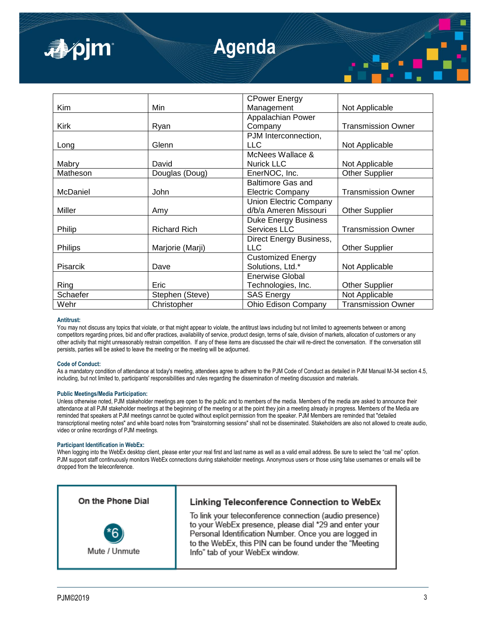| apjm            | <b>Agenda</b>       |                                                        |                           |  |
|-----------------|---------------------|--------------------------------------------------------|---------------------------|--|
|                 |                     | <b>CPower Energy</b>                                   |                           |  |
| Kim             | Min                 | Management                                             | Not Applicable            |  |
| <b>Kirk</b>     | <b>Ryan</b>         | Appalachian Power<br>Company                           | <b>Transmission Owner</b> |  |
| Long            | Glenn               | PJM Interconnection,<br><b>LLC</b>                     | Not Applicable            |  |
| Mabry           | David               | McNees Wallace &<br><b>Nurick LLC</b>                  | Not Applicable            |  |
| Matheson        | Douglas (Doug)      | EnerNOC, Inc.                                          | <b>Other Supplier</b>     |  |
| <b>McDaniel</b> | John                | <b>Baltimore Gas and</b><br><b>Electric Company</b>    | <b>Transmission Owner</b> |  |
| Miller          | Amy                 | <b>Union Electric Company</b><br>d/b/a Ameren Missouri | <b>Other Supplier</b>     |  |
| Philip          | <b>Richard Rich</b> | <b>Duke Energy Business</b><br>Services LLC            | <b>Transmission Owner</b> |  |
| Philips         | Marjorie (Marji)    | Direct Energy Business,<br><b>LLC</b>                  | <b>Other Supplier</b>     |  |
| Pisarcik        | Dave                | <b>Customized Energy</b><br>Solutions, Ltd.*           | Not Applicable            |  |

### **Antitrust:**

You may not discuss any topics that violate, or that might appear to violate, the antitrust laws including but not limited to agreements between or among competitors regarding prices, bid and offer practices, availability of service, product design, terms of sale, division of markets, allocation of customers or any other activity that might unreasonably restrain competition. If any of these items are discussed the chair will re-direct the conversation. If the conversation still persists, parties will be asked to leave the meeting or the meeting will be adjourned.

Schaefer **Stephen (Steve)** SAS Energy **Not Applicable** Not Applicable Wehr Christopher | Ohio Edison Company | Transmission Owner

Enerwise Global

Technologies, Inc. | Other Supplier

#### **Code of Conduct:**

As a mandatory condition of attendance at today's meeting, attendees agree to adhere to the PJM Code of Conduct as detailed in PJM Manual M-34 section 4.5, including, but not limited to, participants' responsibilities and rules regarding the dissemination of meeting discussion and materials.

#### **Public Meetings/Media Participation:**

Ring Fric

Unless otherwise noted, PJM stakeholder meetings are open to the public and to members of the media. Members of the media are asked to announce their attendance at all PJM stakeholder meetings at the beginning of the meeting or at the point they join a meeting already in progress. Members of the Media are reminded that speakers at PJM meetings cannot be quoted without explicit permission from the speaker. PJM Members are reminded that "detailed transcriptional meeting notes" and white board notes from "brainstorming sessions" shall not be disseminated. Stakeholders are also not allowed to create audio, video or online recordings of PJM meetings.

### **Participant Identification in WebEx:**

When logging into the WebEx desktop client, please enter your real first and last name as well as a valid email address. Be sure to select the "call me" option. PJM support staff continuously monitors WebEx connections during stakeholder meetings. Anonymous users or those using false usernames or emails will be dropped from the teleconference.